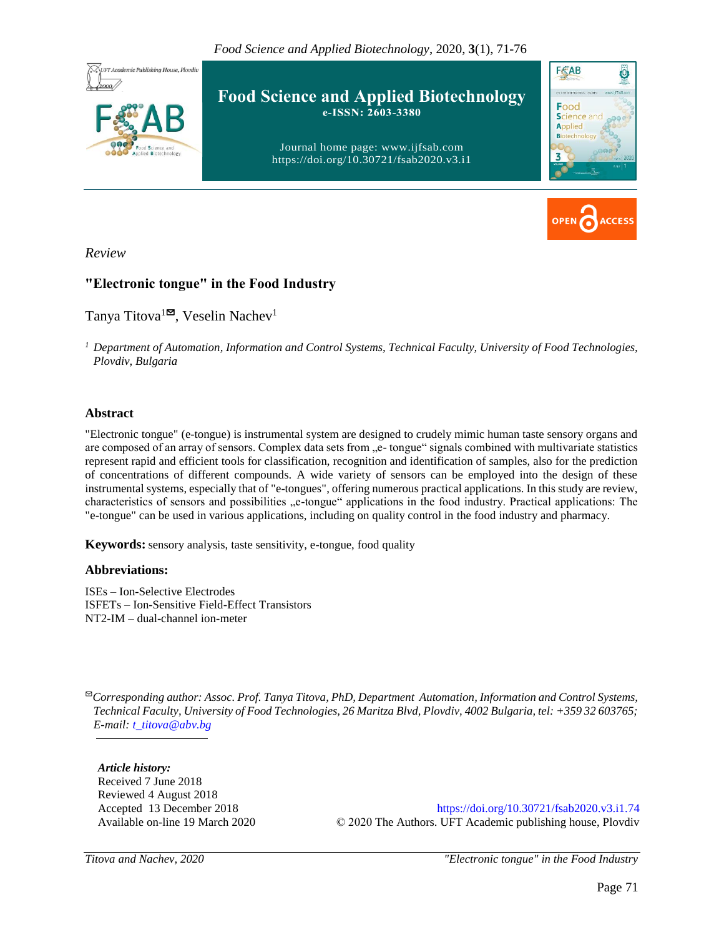*Food Science and Applied Biotechnology*, 2020, **3**(1), 71-76





*Review*

## **"Electronic tongue" in the Food Industry**

Tanya Titova<sup>1 $\blacksquare$ , Veselin Nachev<sup>1</sup></sup>

*<sup>1</sup> Department of Automation, Information and Control Systems, Technical Faculty, University of Food Technologies, Plovdiv, Bulgaria* 

#### **Abstract**

"Electronic tongue" (e-tongue) is instrumental system are designed to crudely mimic human taste sensory organs and are composed of an array of sensors. Complex data sets from "e- tongue" signals combined with multivariate statistics represent rapid and efficient tools for classification, recognition and identification of samples, also for the prediction of concentrations of different compounds. A wide variety of sensors can be employed into the design of these instrumental systems, especially that of "e-tongues", offering numerous practical applications. In this study are review, characteristics of sensors and possibilities "e-tongue" applications in the food industry. Practical applications: The "e-tongue" can be used in various applications, including on quality control in the food industry and pharmacy.

**Keywords:** sensory analysis, taste sensitivity, e-tongue, food quality

#### **Abbreviations:**

ISEs – Ion-Selective Electrodes ISFETs – Ion-Sensitive Field-Effect Transistors NT2-IM – dual-channel ion-meter

✉*Corresponding author: Assoc. Prof. Tanya Titova, PhD, Department Automation, Information and Control Systems, Technical Faculty, University of Food Technologies, 26 Maritza Blvd, Plovdiv, 4002 Bulgaria, tel: +359 32 603765; E-mail: [t\\_titova@abv.bg](mailto:t_titova@abv.bg)*

*Article history:* Received 7 June 2018 Reviewed 4 August 2018 Accepted 13 December 2018 Available on-line 19 March 2020

<https://doi.org/10.30721/fsab2020.v3.i1.74> © 2020 The Authors. UFT Academic publishing house, Plovdiv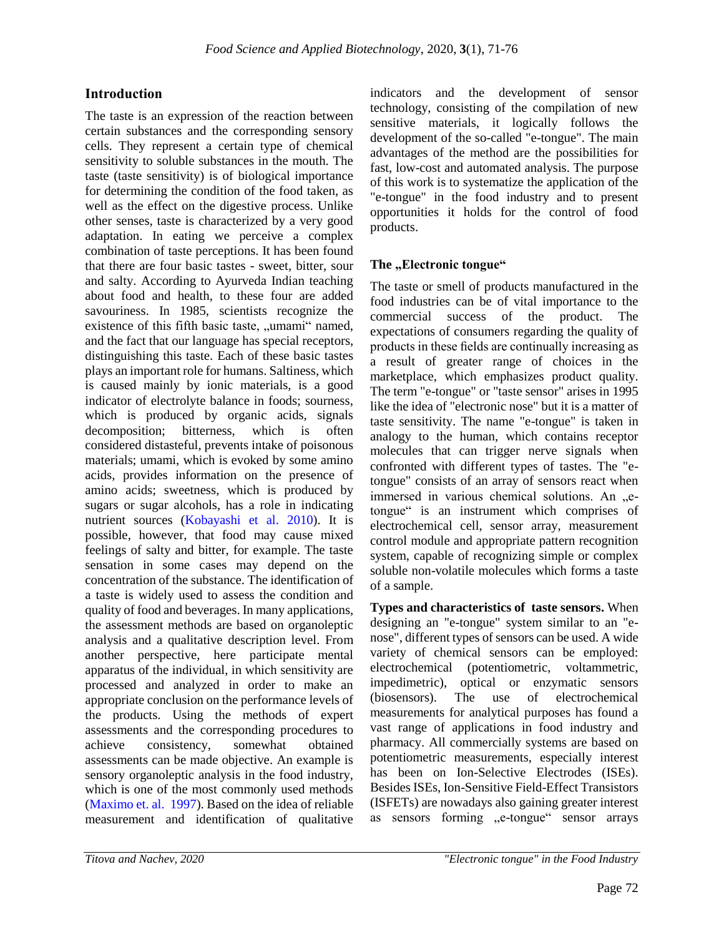## **Introduction**

The taste is an expression of the reaction between certain substances and the corresponding sensory cells. They represent a certain type of chemical sensitivity to soluble substances in the mouth. The taste (taste sensitivity) is of biological importance for determining the condition of the food taken, as well as the effect on the digestive process. Unlike other senses, taste is characterized by a very good adaptation. In eating we perceive a complex combination of taste perceptions. It has been found that there are four basic tastes - sweet, bitter, sour and salty. According to Ayurveda Indian teaching about food and health, to these four are added savouriness. In 1985, scientists recognize the existence of this fifth basic taste, "umami" named, and the fact that our language has special receptors, distinguishing this taste. Each of these basic tastes plays an important role for humans. Saltiness, which is caused mainly by ionic materials, is a good indicator of electrolyte balance in foods; sourness, which is produced by organic acids, signals decomposition; bitterness, which is often considered distasteful, prevents intake of poisonous materials; umami, which is evoked by some amino acids, provides information on the presence of amino acids; sweetness, which is produced by sugars or sugar alcohols, has a role in indicating nutrient sources (Kobayashi et al. 2010). It is possible, however, that food may cause mixed feelings of salty and bitter, for example. The taste sensation in some cases may depend on the concentration of the substance. The identification of a taste is widely used to assess the condition and quality of food and beverages. In many applications, the assessment methods are based on organoleptic analysis and a qualitative description level. From another perspective, here participate mental apparatus of the individual, in which sensitivity are processed and analyzed in order to make an appropriate conclusion on the performance levels of the products. Using the methods of expert assessments and the corresponding procedures to achieve consistency, somewhat obtained assessments can be made objective. An example is sensory organoleptic analysis in the food industry, which is one of the most commonly used methods (Maximo et. al. 1997). Based on the idea of reliable measurement and identification of qualitative

indicators and the development of sensor technology, consisting of the compilation of new sensitive materials, it logically follows the development of the so-called "e-tongue". The main advantages of the method are the possibilities for fast, low-cost and automated analysis. The purpose of this work is to systematize the application of the "e-tongue" in the food industry and to present opportunities it holds for the control of food products.

## The "Electronic tongue"

The taste or smell of products manufactured in the food industries can be of vital importance to the commercial success of the product. The expectations of consumers regarding the quality of products in these fields are continually increasing as a result of greater range of choices in the marketplace, which emphasizes product quality. The term "e-tongue" or "taste sensor" arises in 1995 like the idea of "electronic nose" but it is a matter of taste sensitivity. The name "e-tongue" is taken in analogy to the human, which contains receptor molecules that can trigger nerve signals when confronted with different types of tastes. The "etongue" consists of an array of sensors react when immersed in various chemical solutions. An ..etongue" is an instrument which comprises of electrochemical cell, sensor array, measurement control module and appropriate pattern recognition system, capable of recognizing simple or complex soluble non-volatile molecules which forms a taste of a sample.

**Types and characteristics of taste sensors.** When designing an "e-tongue" system similar to an "enose", different types of sensors can be used. A wide variety of chemical sensors can be employed: electrochemical (potentiometric, voltammetric, impedimetric), optical or enzymatic sensors (biosensors). The use of electrochemical measurements for analytical purposes has found a vast range of applications in food industry and pharmacy. All commercially systems are based on potentiometric measurements, especially interest has been on Ion-Selective Electrodes (ISEs). Besides ISEs, Ion-Sensitive Field-Effect Transistors (ISFETs) are nowadays also gaining greater interest as sensors forming "e-tongue" sensor arrays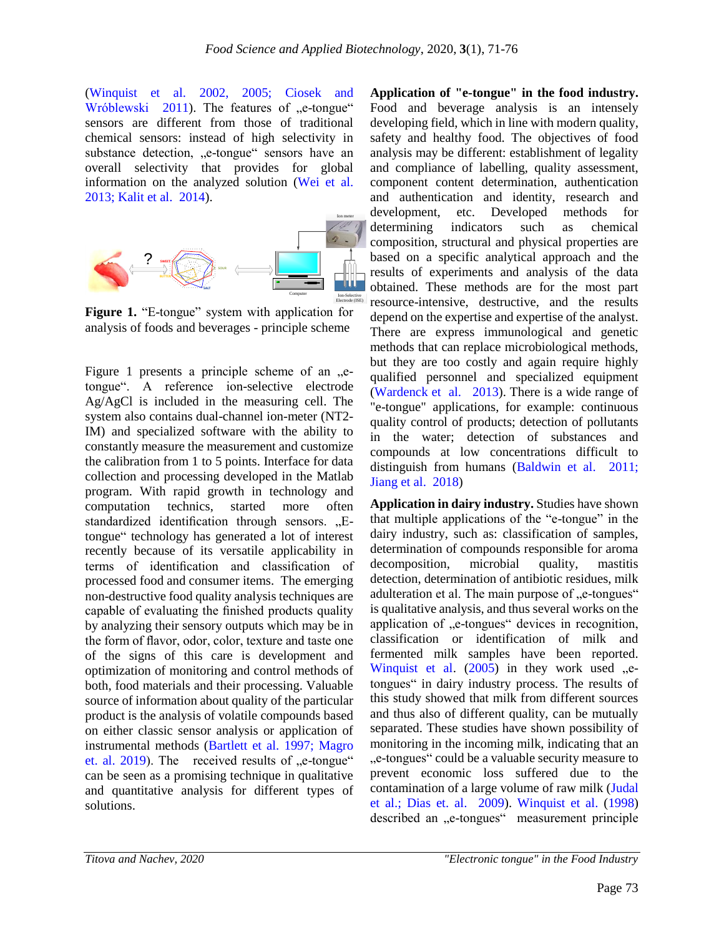(Winquist et al. 2002, 2005; Ciosek and Wróblewski 2011). The features of "e-tongue" sensors are different from those of traditional chemical sensors: instead of high selectivity in substance detection, ..e-tongue" sensors have an overall selectivity that provides for global information on the analyzed solution (Wei et al. 2013; Kalit et al. 2014).



**Figure 1.** "E-tongue" system with application for analysis of foods and beverages - principle scheme

Figure 1 presents a principle scheme of an  $e$ tongue". A reference ion-selective electrode Ag/AgCl is included in the measuring cell. The system also contains dual-channel ion-meter (NT2- IM) and specialized software with the ability to constantly measure the measurement and customize the calibration from 1 to 5 points. Interface for data collection and processing developed in the Matlab program. With rapid growth in technology and computation technics, started more often standardized identification through sensors. "Etongue" technology has generated a lot of interest recently because of its versatile applicability in terms of identification and classification of processed food and consumer items. The emerging non-destructive food quality analysis techniques are capable of evaluating the finished products quality by analyzing their sensory outputs which may be in the form of flavor, odor, color, texture and taste one of the signs of this care is development and optimization of monitoring and control methods of both, food materials and their processing. Valuable source of information about quality of the particular product is the analysis of volatile compounds based on either classic sensor analysis or application of instrumental methods (Bartlett et al. 1997; Magro et. al.  $2019$ ). The received results of  $e$ -tongue" can be seen as a promising technique in qualitative and quantitative analysis for different types of solutions.

**Application of "e-tongue" in the food industry.**  Food and beverage analysis is an intensely developing field, which in line with modern quality, safety and healthy food. The objectives of food analysis may be different: establishment of legality and compliance of labelling, quality assessment, component content determination, authentication and authentication and identity, research and development, etc. Developed methods for determining indicators such as chemical composition, structural and physical properties are based on a specific analytical approach and the results of experiments and analysis of the data obtained. These methods are for the most part resource-intensive, destructive, and the results depend on the expertise and expertise of the analyst. There are express immunological and genetic methods that can replace microbiological methods, but they are too costly and again require highly qualified personnel and specialized equipment (Wardenck et al. 2013). There is a wide range of "e-tongue" applications, for example: continuous quality control of products; detection of pollutants in the water; detection of substances and compounds at low concentrations difficult to distinguish from humans (Baldwin et al. 2011; Jiang et al. 2018)

**Application in dairy industry.** Studies have shown that multiple applications of the "e-tongue" in the dairy industry, such as: classification of samples, determination of compounds responsible for aroma decomposition, microbial quality, mastitis detection, determination of antibiotic residues, milk adulteration et al. The main purpose of "e-tongues" is qualitative analysis, and thus several works on the application of "e-tongues" devices in recognition, classification or identification of milk and fermented milk samples have been reported. Winquist et al.  $(2005)$  in they work used  $,$ etongues" in dairy industry process. The results of this study showed that milk from different sources and thus also of different quality, can be mutually separated. These studies have shown possibility of monitoring in the incoming milk, indicating that an ...e-tongues" could be a valuable security measure to. prevent economic loss suffered due to the contamination of a large volume of raw milk (Judal et al.; Dias et. al. 2009). Winquist et al. (1998) described an "e-tongues" measurement principle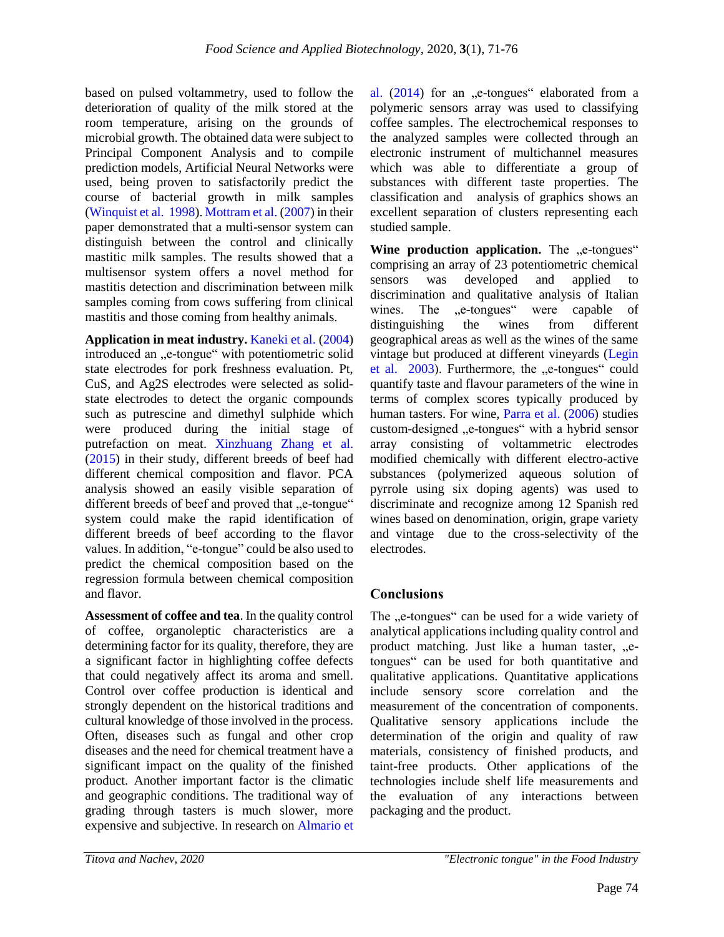based on pulsed voltammetry, used to follow the deterioration of quality of the milk stored at the room temperature, arising on the grounds of microbial growth. The obtained data were subject to Principal Component Analysis and to compile prediction models, Artificial Neural Networks were used, being proven to satisfactorily predict the course of bacterial growth in milk samples (Winquist et al. 1998). Mottram et al. (2007) in their paper demonstrated that a multi-sensor system can distinguish between the control and clinically mastitic milk samples. The results showed that a multisensor system offers a novel method for mastitis detection and discrimination between milk samples coming from cows suffering from clinical mastitis and those coming from healthy animals.

**Application in meat industry.** Kaneki et al. (2004) introduced an "e-tongue" with potentiometric solid state electrodes for pork freshness evaluation. Pt, CuS, and Ag2S electrodes were selected as solidstate electrodes to detect the organic compounds such as putrescine and dimethyl sulphide which were produced during the initial stage of putrefaction on meat. Xinzhuang Zhang et al. (2015) in their study, different breeds of beef had different chemical composition and flavor. PCA analysis showed an easily visible separation of different breeds of beef and proved that "e-tongue" system could make the rapid identification of different breeds of beef according to the flavor values. In addition, "e-tongue" could be also used to predict the chemical composition based on the regression formula between chemical composition and flavor.

**Assessment of coffee and tea**. In the quality control of coffee, organoleptic characteristics are a determining factor for its quality, therefore, they are a significant factor in highlighting coffee defects that could negatively affect its aroma and smell. Control over coffee production is identical and strongly dependent on the historical traditions and cultural knowledge of those involved in the process. Often, diseases such as fungal and other crop diseases and the need for chemical treatment have a significant impact on the quality of the finished product. Another important factor is the climatic and geographic conditions. The traditional way of grading through tasters is much slower, more expensive and subjective. In research on Almario et

al.  $(2014)$  for an  $\mu$ -tongues<sup>"</sup> elaborated from a polymeric sensors array was used to classifying coffee samples. The electrochemical responses to the analyzed samples were collected through an electronic instrument of multichannel measures which was able to differentiate a group of substances with different taste properties. The classification and analysis of graphics shows an excellent separation of clusters representing each studied sample.

**Wine production application.** The <sub>"e-tongues"</sub> comprising an array of 23 potentiometric chemical sensors was developed and applied to discrimination and qualitative analysis of Italian wines. The "e-tongues" were capable of distinguishing the wines from different geographical areas as well as the wines of the same vintage but produced at different vineyards (Legin et al. 2003). Furthermore, the "e-tongues" could quantify taste and flavour parameters of the wine in terms of complex scores typically produced by human tasters. For wine, Parra et al. (2006) studies custom-designed "e-tongues" with a hybrid sensor array consisting of voltammetric electrodes modified chemically with different electro-active substances (polymerized aqueous solution of pyrrole using six doping agents) was used to discriminate and recognize among 12 Spanish red wines based on denomination, origin, grape variety and vintage due to the cross-selectivity of the electrodes.

# **Conclusions**

The "e-tongues" can be used for a wide variety of analytical applications including quality control and product matching. Just like a human taster, ..etongues" can be used for both quantitative and qualitative applications. Quantitative applications include sensory score correlation and the measurement of the concentration of components. Qualitative sensory applications include the determination of the origin and quality of raw materials, consistency of finished products, and taint-free products. Other applications of the technologies include shelf life measurements and the evaluation of any interactions between packaging and the product.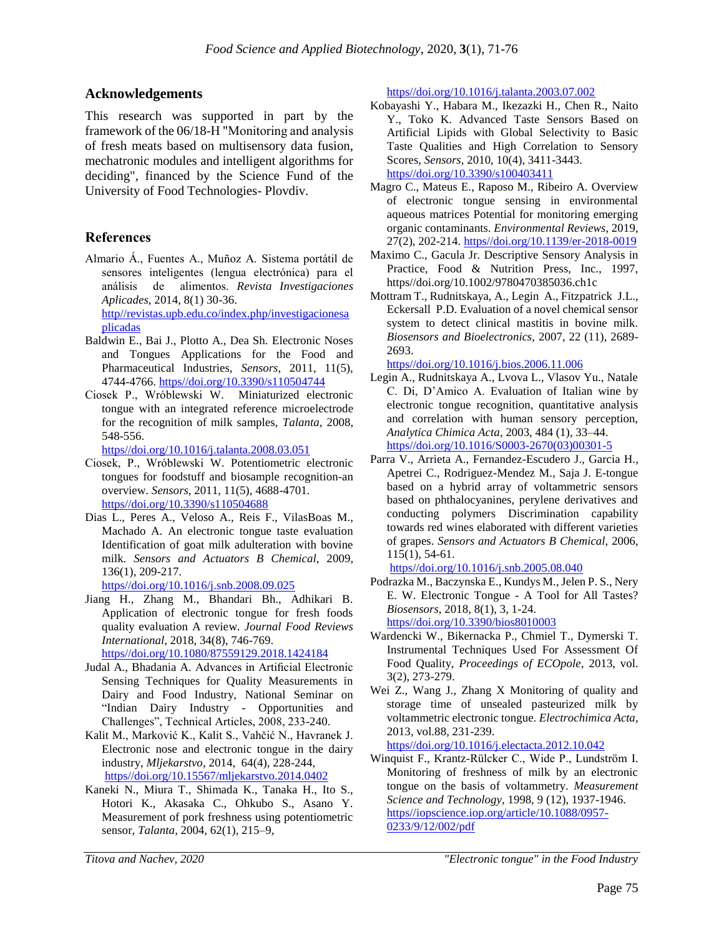#### **Acknowledgements**

This research was supported in part by the framework of the 06/18-Н "Monitoring and analysis of fresh meats based on multisensory data fusion, mechatronic modules and intelligent algorithms for deciding", financed by the Science Fund of the University of Food Technologies- Plovdiv.

### **References**

Almario Á., Fuentes A., Muñoz A. Sistema portátil de sensores inteligentes (lengua electrónica) para el análisis de alimentos. *Revista Investigaciones Aplicades*, 2014, 8(1) 30-36.

[http//revistas.upb.edu.co/index.php/investigacionesa](http://revistas.upb.edu.co/index.php/investigacionesaplicadas) [plicadas](http://revistas.upb.edu.co/index.php/investigacionesaplicadas)

- Baldwin E., Bai J., Plotto A., Dea Sh. Electronic Noses and Tongues Applications for the Food and Pharmaceutical Industries, *Sensors*, 2011, 11(5), 4744-4766[. https//doi.org/10.3390/s110504744](https://doi.org/10.3390/s110504744)
- Ciosek P., Wróblewski W. Miniaturized electronic tongue with an integrated reference microelectrode for the recognition of milk samples, *Talanta*, 2008, 548-556.

[https//doi.org/10.1016/j.talanta.2008.03.051](https://doi.org/10.1016/j.talanta.2008.03.051)

- Ciosek, P., Wróblewski W. Potentiometric electronic tongues for foodstuff and biosample recognition-an overview. *Sensors*, 2011, 11(5), 4688-4701. [https//doi.org/10.3390/s110504688](https://doi.org/10.3390/s110504688)
- Dias L., Peres A., Veloso A., Reis F., VilasBoas M., Machado A. An electronic tongue taste evaluation Identification of goat milk adulteration with bovine milk. *Sensors and Actuators B Chemical*, 2009, 136(1), 209-217.

[https//doi.org/10.1016/j.snb.2008.09.025](https://doi.org/10.1016/j.snb.2008.09.025)

Jiang H., Zhang M., Bhandari Bh., Adhikari B. Application of electronic tongue for fresh foods quality evaluation A review. *Journal Food Reviews International*, 2018, 34(8), 746-769. [https//doi.org/10.1080/87559129.2018.1424184](https://doi.org/10.1080/87559129.2018.1424184)

Judal A., Bhadania A. Advances in Artificial Electronic Sensing Techniques for Quality Measurements in Dairy and Food Industry, National Seminar on "Indian Dairy Industry - Opportunities and

- Challenges", Technical Articles, 2008, 233-240. Kalit M., Marković K., Kalit S., Vahčić N., Havranek J. Electronic nose and electronic tongue in the dairy industry, *Mljekarstvo*, 2014, 64(4), 228-244, [https//doi.org/10.15567/mljekarstvo.2014.0402](https://doi.org/10.15567/mljekarstvo.2014.0402)
- Kaneki N., Miura T., Shimada K., Tanaka H., Ito S., Hotori K., Akasaka C., Ohkubo S., Asano Y. Measurement of pork freshness using potentiometric sensor, *Talanta*, 2004, 62(1), 215–9,

[https//doi.org/10.1016/j.talanta.2003.07.002](https://doi.org/10.1016/j.talanta.2003.07.002)

- Kobayashi Y., Habara M., Ikezazki H., Chen R., Naito Y., Toko K. Advanced Taste Sensors Based on Artificial Lipids with Global Selectivity to Basic Taste Qualities and High Correlation to Sensory Scores, *Sensors*, 2010, 10(4), 3411-3443. [https//doi.org/10.3390/s100403411](https://doi.org/10.3390/s100403411)
- Magro C., Mateus E., Raposo M., Ribeiro A. Overview of electronic tongue sensing in environmental aqueous matrices Potential for monitoring emerging organic contaminants. *Environmental Reviews*, 2019, 27(2), 202-214. [https//doi.org/10.1139/er-2018-0019](https://doi.org/10.1139/er-2018-0019)
- Maximo C., Gacula Jr. Descriptive Sensory Analysis in Practice, Food & Nutrition Press, Inc., 1997, https//doi.org/10.1002/9780470385036.ch1c
- Mottram T., Rudnitskaya, A., Legin A., Fitzpatrick J.L., Eckersall P.D. Evaluation of a novel chemical sensor system to detect clinical mastitis in bovine milk. *Biosensors and Bioelectronics*, 2007, 22 (11), 2689- 2693.

[https//doi.org/10.1016/j.bios.2006.11.006](https://doi.org/10.1016/j.bios.2006.11.006)

- Legin A., Rudnitskaya A., Lvova L., Vlasov Yu., Natale C. Di, D'Amico A. Evaluation of Italian wine by electronic tongue recognition, quantitative analysis and correlation with human sensory perception, *Analytica Chimica Acta*, 2003, 484 (1), 33–44. [https//doi.org/10.1016/S0003-2670\(03\)00301-5](https://doi.org/10.1016/S0003-2670(03)00301-5)
- Parra V., Arrieta A., Fernandez-Escudero J., Garcia H., Apetrei C., Rodriguez-Mendez M., Saja J. E-tongue based on a hybrid array of voltammetric sensors based on phthalocyanines, perylene derivatives and conducting polymers Discrimination capability towards red wines elaborated with different varieties of grapes. *Sensors and Actuators B Chemical*, 2006, 115(1), 54-61.

[https//doi.org/10.1016/j.snb.2005.08.040](https://doi.org/10.1016/j.snb.2005.08.040)

- Podrazka M., Baczynska E., Kundys M., Jelen P. S., Nery E. W. Electronic Tongue - A Tool for All Tastes? *Biosensors*, 2018, 8(1), 3, 1-24. [https//doi.org/10.3390/bios8010003](https://doi.org/10.3390/bios8010003)
- Wardencki W., Bikernacka P., Chmiel T., Dymerski T. Instrumental Techniques Used For Assessment Of Food Quality, *Proceedings of ECOpole*, 2013, vol. 3(2), 273-279.
- Wei Z., Wang J., Zhang X Monitoring of quality and storage time of unsealed pasteurized milk by voltammetric electronic tongue. *Electrochimica Acta*, 2013, vol.88, 231-239.

[https//doi.org/10.1016/j.electacta.2012.10.042](https://doi.org/10.1016/j.electacta.2012.10.042)

Winquist F., Krantz-Rülcker C., Wide P., Lundström I. Monitoring of freshness of milk by an electronic tongue on the basis of voltammetry. *Measurement Science and Technology*, 1998, 9 (12), 1937-1946. [https//iopscience.iop.org/article/10.1088/0957-](https://iopscience.iop.org/article/10.1088/0957-0233/9/12/002/pdf) [0233/9/12/002/pdf](https://iopscience.iop.org/article/10.1088/0957-0233/9/12/002/pdf)